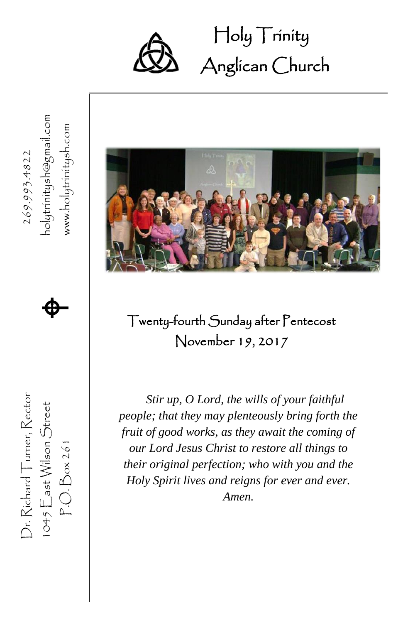

 Holy Trinity Ĩ Anglican Church

1045  $\mathsf{E}$ ast Wilson Street  $\bigoplus$ www.holytrinitysh.com P.O. Box 261 www.holytrinitysh.com Dr. Richard Turner, Rector  $269.993.4822$ 269.993.4822  $\spadesuit$ Twenty-fourth Sunday after Pentecost November 19, 2017 Dr. Richard Turner, Rector *Stir up, O Lord, the wills of your faithful*   $1045$   $E$  ast Wilson  $S$ treet *people; that they may plenteously bring forth the fruit of good works, as they await the coming of*   $P.O.Box261$ *our Lord Jesus Christ to restore all things to their original perfection; who with you and the Holy Spirit lives and reigns for ever and ever. Amen.*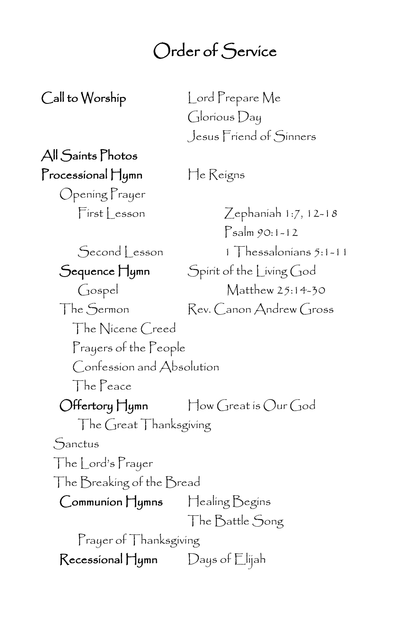## Order of Service

Call to Worship Lord Prepare Me Glorious Day Jesus Friend of Sinners

All Saints Photos Processional Hymn He Reigns

Opening Prayer

First Lesson Zephaniah 1:7, 12-18 Psalm 90:1-12 Second Lesson 1 Thessalonians 5:1-11 Sequence Hymn Spirit of the Living God Gospel Matthew 25:14-30 The Sermon Rev. Canon Andrew Gross The Nicene Creed Prayers of the People Confession and Absolution The Peace Offertory Hymn How Great is Our God The Great Thanksgiving Sanctus The Lord's Prayer The Breaking of the Bread Communion Hymns Healing Begins The Battle Song Prayer of Thanksgiving Recessional Hymn Days of Elijah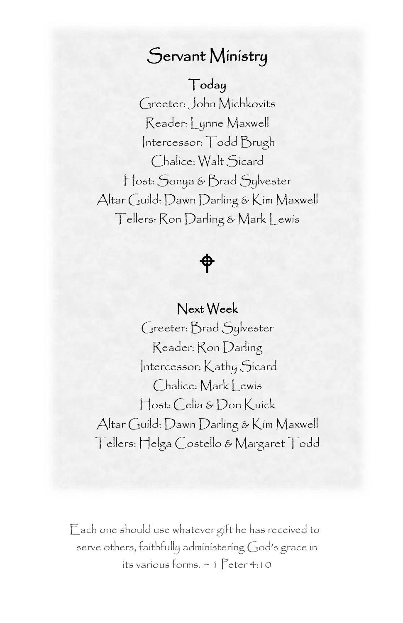## Servant Ministry

### Today

 Reader: Lynne Maxwell Greeter: John Michkovits Intercessor: Todd Brugh Chalice: Walt Sicard Host: Sonya & Brad Sylvester Altar Guild: Dawn Darling & Kim Maxwell Tellers: Ron Darling & Mark Lewis

# $\hat{\phi}$

### Next Week

Greeter: Brad Sylvester Reader: Ron Darling Intercessor: Kathy Sicard Chalice: Mark | ewis Host: Celia & Don Kuick Altar Guild: Dawn Darling & Kim Maxwell Tellers: Helga Costello & Margaret Todd

Each one should use whatever gift he has received to serve others, faithfully administering God's grace in its various forms. ~ 1 Peter 4:10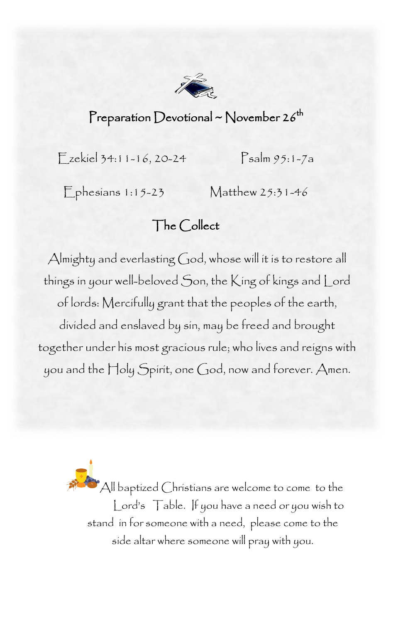

### Preparation Devotional ~ November 26<sup>th</sup>

Ezekiel 34:11-16, 20-24 Psalm 95:1-7a

Ephesians 1:15-23 Matthew 25:31-46

### The Collect

Almighty and everlasting God, whose will it is to restore all of lords: Mercifully grant that the peoples of the earth, divided and enslaved by sin, may be freed and brought together under his most gracious rule; who lives and reigns with things in your well-beloved Son, the King of kings and Lord you and the Holy Spirit, one God, now and forever. Amen.

> All baptized Christians are welcome to come to the Lord's Table. If you have a need or you wish to stand in for someone with a need, please come to the side altar where someone will pray with you.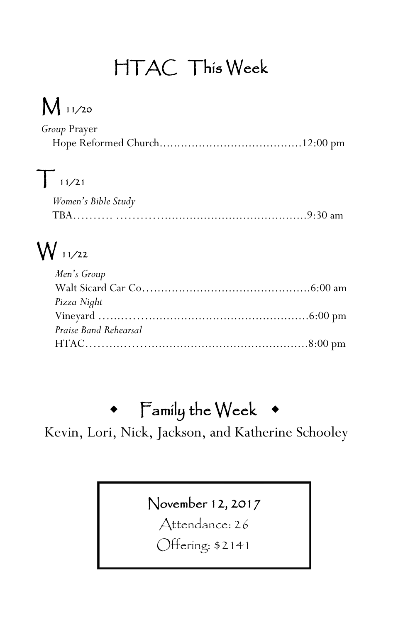# HTAC This Week

# M 11/20

| Group Prayer |  |
|--------------|--|
|              |  |

# $T_{11/21}$

| Women's Bible Study |  |
|---------------------|--|
| <b>TRA</b>          |  |

# W 11/22

| Men's Group           |  |
|-----------------------|--|
|                       |  |
| Pizza Night           |  |
|                       |  |
| Praise Band Rehearsal |  |
|                       |  |

## Family the Week

Kevin, Lori, Nick, Jackson, and Katherine Schooley

## November 12, 2017

Attendance: 26

Offering: \$2141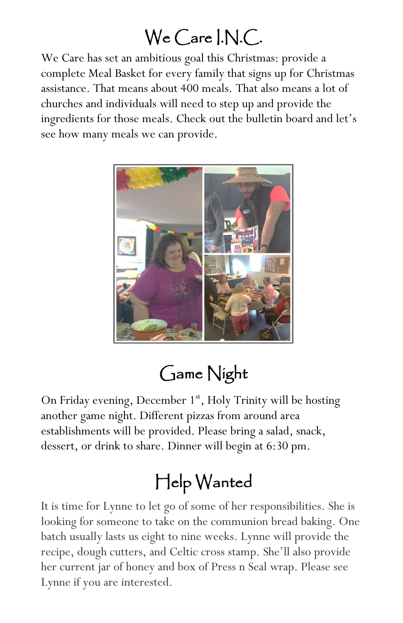# We Care I.N.C.

We Care has set an ambitious goal this Christmas: provide a complete Meal Basket for every family that signs up for Christmas assistance. That means about 400 meals. That also means a lot of churches and individuals will need to step up and provide the ingredients for those meals. Check out the bulletin board and let's see how many meals we can provide.



## Game Night

On Friday evening, December 1<sup>st</sup>, Holy Trinity will be hosting another game night. Different pizzas from around area establishments will be provided. Please bring a salad, snack, dessert, or drink to share. Dinner will begin at 6:30 pm.

# Help Wanted

It is time for Lynne to let go of some of her responsibilities. She is looking for someone to take on the communion bread baking. One batch usually lasts us eight to nine weeks. Lynne will provide the recipe, dough cutters, and Celtic cross stamp. She'll also provide her current jar of honey and box of Press n Seal wrap. Please see Lynne if you are interested.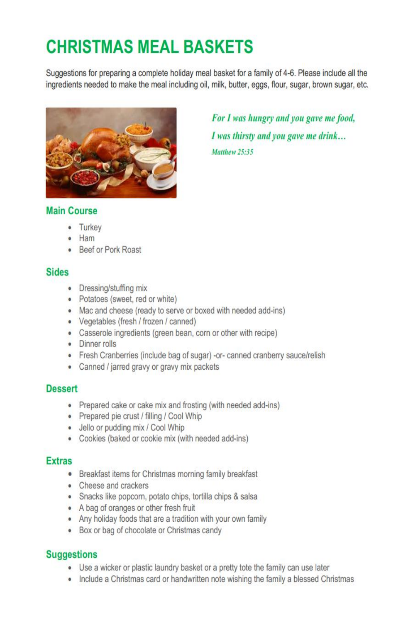## **CHRISTMAS MEAL BASKETS**

Suggestions for preparing a complete holiday meal basket for a family of 4-6. Please include all the ingredients needed to make the meal including oil, milk, butter, eggs, flour, sugar, brown sugar, etc.



For I was hungry and you gave me food, I was thirsty and you gave me drink... Matthew 25-35

#### **Main Course**

- Turkey
- Ham
- Beef or Pork Roast

#### Sides

- Dressing/stuffing mix
- Potatoes (sweet, red or white)
- Mac and cheese (ready to serve or boxed with needed add-ins)
- Vegetables (fresh / frozen / canned)
- Casserole ingredients (green bean, corn or other with recipe)
- Dinner rolls
- Fresh Cranberries (include bag of sugar) -or- canned cranberry sauce/relish
- Canned / jarred gravy or gravy mix packets

#### **Dessert**

- Prepared cake or cake mix and frosting (with needed add-ins)
- Prepared pie crust / filling / Cool Whip
- · Jello or pudding mix / Cool Whip
- Cookies (baked or cookie mix (with needed add-ins)

#### **Extras**

- Breakfast items for Christmas morning family breakfast
- Cheese and crackers
- · Snacks like popcorn, potato chips, tortilla chips & salsa
- A bag of oranges or other fresh fruit
- Any holiday foods that are a tradition with your own family
- Box or bag of chocolate or Christmas candy

#### **Suggestions**

- Use a wicker or plastic laundry basket or a pretty tote the family can use later
- Include a Christmas card or handwritten note wishing the family a blessed Christmas